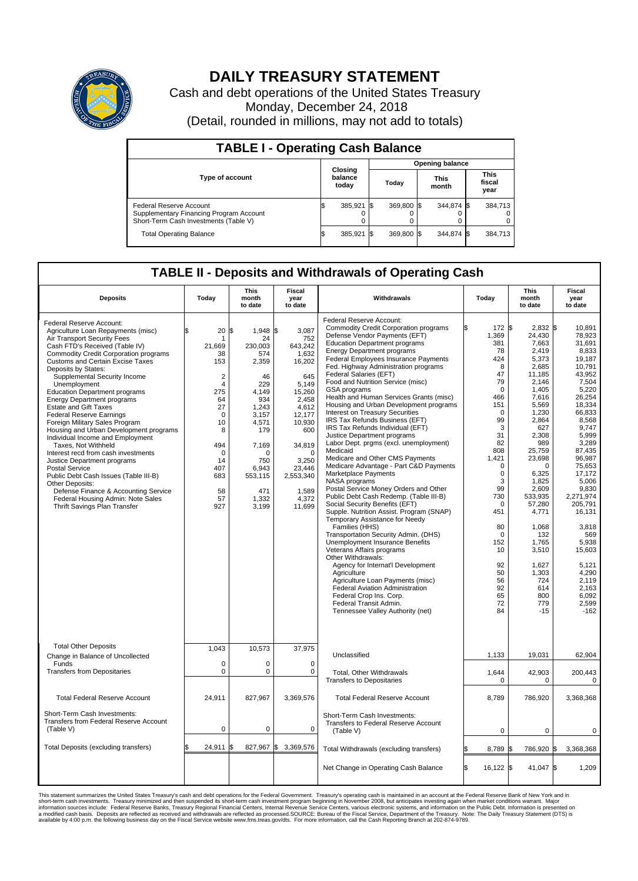

## **DAILY TREASURY STATEMENT**

Cash and debt operations of the United States Treasury Monday, December 24, 2018 (Detail, rounded in millions, may not add to totals)

| <b>TABLE I - Operating Cash Balance</b>                                                                     |  |                             |  |                        |  |                      |  |                               |  |  |  |
|-------------------------------------------------------------------------------------------------------------|--|-----------------------------|--|------------------------|--|----------------------|--|-------------------------------|--|--|--|
|                                                                                                             |  |                             |  | <b>Opening balance</b> |  |                      |  |                               |  |  |  |
| <b>Type of account</b>                                                                                      |  | Closing<br>balance<br>today |  | Today                  |  | <b>This</b><br>month |  | <b>This</b><br>fiscal<br>year |  |  |  |
| Federal Reserve Account<br>Supplementary Financing Program Account<br>Short-Term Cash Investments (Table V) |  | 385,921                     |  | 369.800 \$             |  | 344.874 \$           |  | 384,713                       |  |  |  |
| <b>Total Operating Balance</b>                                                                              |  | 385,921                     |  | 369,800 \$             |  | 344,874 \$           |  | 384,713                       |  |  |  |

## **TABLE II - Deposits and Withdrawals of Operating Cash**

| <b>Deposits</b>                                                                                                                                                                                                                                                                                                                                                                                                                                                                                                                                                                                                                                                                                                                                                                                                                                           | Today                                                                                                                                                                               | <b>This</b><br>month<br>to date                                                                                                                                                   | <b>Fiscal</b><br>year<br>to date                                                                                                                                                                       | Withdrawals                                                                                                                                                                                                                                                                                                                                                                                                                                                                                                                                                                                                                                                                                                                                                                                                                                                                                                                                                                                                                                                                                                                                                                                                                                                                                                                                                | Today                                                                                                                                                                                                                                                                            | <b>This</b><br>month<br>to date                                                                                                                                                                                                                                                                                                 | <b>Fiscal</b><br>year<br>to date                                                                                                                                                                                                                                                                                                                     |
|-----------------------------------------------------------------------------------------------------------------------------------------------------------------------------------------------------------------------------------------------------------------------------------------------------------------------------------------------------------------------------------------------------------------------------------------------------------------------------------------------------------------------------------------------------------------------------------------------------------------------------------------------------------------------------------------------------------------------------------------------------------------------------------------------------------------------------------------------------------|-------------------------------------------------------------------------------------------------------------------------------------------------------------------------------------|-----------------------------------------------------------------------------------------------------------------------------------------------------------------------------------|--------------------------------------------------------------------------------------------------------------------------------------------------------------------------------------------------------|------------------------------------------------------------------------------------------------------------------------------------------------------------------------------------------------------------------------------------------------------------------------------------------------------------------------------------------------------------------------------------------------------------------------------------------------------------------------------------------------------------------------------------------------------------------------------------------------------------------------------------------------------------------------------------------------------------------------------------------------------------------------------------------------------------------------------------------------------------------------------------------------------------------------------------------------------------------------------------------------------------------------------------------------------------------------------------------------------------------------------------------------------------------------------------------------------------------------------------------------------------------------------------------------------------------------------------------------------------|----------------------------------------------------------------------------------------------------------------------------------------------------------------------------------------------------------------------------------------------------------------------------------|---------------------------------------------------------------------------------------------------------------------------------------------------------------------------------------------------------------------------------------------------------------------------------------------------------------------------------|------------------------------------------------------------------------------------------------------------------------------------------------------------------------------------------------------------------------------------------------------------------------------------------------------------------------------------------------------|
| Federal Reserve Account:<br>Agriculture Loan Repayments (misc)<br>Air Transport Security Fees<br>Cash FTD's Received (Table IV)<br>Commodity Credit Corporation programs<br><b>Customs and Certain Excise Taxes</b><br>Deposits by States:<br>Supplemental Security Income<br>Unemployment<br><b>Education Department programs</b><br><b>Energy Department programs</b><br><b>Estate and Gift Taxes</b><br><b>Federal Reserve Earnings</b><br>Foreign Military Sales Program<br>Housing and Urban Development programs<br>Individual Income and Employment<br>Taxes, Not Withheld<br>Interest recd from cash investments<br>Justice Department programs<br><b>Postal Service</b><br>Public Debt Cash Issues (Table III-B)<br>Other Deposits:<br>Defense Finance & Accounting Service<br>Federal Housing Admin: Note Sales<br>Thrift Savings Plan Transfer | 20<br>\$.<br>1<br>21,669<br>38<br>153<br>$\overline{2}$<br>$\overline{4}$<br>275<br>64<br>27<br>$\mathbf 0$<br>10<br>8<br>494<br>$\mathbf 0$<br>14<br>407<br>683<br>58<br>57<br>927 | 1\$<br>1,948 \$<br>24<br>230,003<br>574<br>2,359<br>46<br>229<br>4.149<br>934<br>1,243<br>3,157<br>4,571<br>179<br>7,169<br>O<br>750<br>6.943<br>553,115<br>471<br>1,332<br>3,199 | 3,087<br>752<br>643,242<br>1,632<br>16,202<br>645<br>5.149<br>15,260<br>2,458<br>4,612<br>12,177<br>10,930<br>600<br>34,819<br>$\mathbf 0$<br>3,250<br>23,446<br>2,553,340<br>1,589<br>4,372<br>11,699 | Federal Reserve Account:<br><b>Commodity Credit Corporation programs</b><br>Defense Vendor Payments (EFT)<br><b>Education Department programs</b><br><b>Energy Department programs</b><br><b>Federal Employees Insurance Payments</b><br>Fed. Highway Administration programs<br>Federal Salaries (EFT)<br>Food and Nutrition Service (misc)<br><b>GSA</b> programs<br>Health and Human Services Grants (misc)<br>Housing and Urban Development programs<br>Interest on Treasury Securities<br>IRS Tax Refunds Business (EFT)<br>IRS Tax Refunds Individual (EFT)<br>Justice Department programs<br>Labor Dept. prgms (excl. unemployment)<br>Medicaid<br>Medicare and Other CMS Payments<br>Medicare Advantage - Part C&D Payments<br>Marketplace Payments<br>NASA programs<br>Postal Service Money Orders and Other<br>Public Debt Cash Redemp. (Table III-B)<br>Social Security Benefits (EFT)<br>Supple. Nutrition Assist. Program (SNAP)<br>Temporary Assistance for Needy<br>Families (HHS)<br>Transportation Security Admin. (DHS)<br>Unemployment Insurance Benefits<br>Veterans Affairs programs<br>Other Withdrawals:<br>Agency for Internat'l Development<br>Agriculture<br>Agriculture Loan Payments (misc)<br><b>Federal Aviation Administration</b><br>Federal Crop Ins. Corp.<br>Federal Transit Admin.<br>Tennessee Valley Authority (net) | 172 \$<br>1,369<br>381<br>78<br>424<br>8<br>47<br>79<br>$\mathbf 0$<br>466<br>151<br>$\Omega$<br>99<br>3<br>31<br>82<br>808<br>1,421<br>$\mathbf 0$<br>$\mathbf 0$<br>3<br>99<br>730<br>$\Omega$<br>451<br>80<br>$\Omega$<br>152<br>10<br>92<br>50<br>56<br>92<br>65<br>72<br>84 | 2,832 \$<br>24,430<br>7,663<br>2,419<br>5,373<br>2,685<br>11,185<br>2.146<br>1.405<br>7,616<br>5,569<br>1,230<br>2.864<br>627<br>2,308<br>989<br>25,759<br>23,698<br>$\Omega$<br>6,325<br>1,825<br>2,609<br>533,935<br>57,280<br>4,771<br>1,068<br>132<br>1,765<br>3,510<br>1,627<br>1,303<br>724<br>614<br>800<br>779<br>$-15$ | 10.891<br>78,923<br>31,691<br>8,833<br>19.187<br>10.791<br>43,952<br>7,504<br>5,220<br>26,254<br>18,334<br>66,833<br>8.568<br>9,747<br>5.999<br>3,289<br>87,435<br>96,987<br>75,653<br>17,172<br>5,006<br>9,830<br>2,271,974<br>205.791<br>16,131<br>3,818<br>569<br>5,938<br>15,603<br>5,121<br>4,290<br>2.119<br>2,163<br>6,092<br>2,599<br>$-162$ |
| <b>Total Other Deposits</b><br>Change in Balance of Uncollected                                                                                                                                                                                                                                                                                                                                                                                                                                                                                                                                                                                                                                                                                                                                                                                           | 1,043                                                                                                                                                                               | 10,573                                                                                                                                                                            | 37,975                                                                                                                                                                                                 | Unclassified                                                                                                                                                                                                                                                                                                                                                                                                                                                                                                                                                                                                                                                                                                                                                                                                                                                                                                                                                                                                                                                                                                                                                                                                                                                                                                                                               | 1,133                                                                                                                                                                                                                                                                            | 19,031                                                                                                                                                                                                                                                                                                                          | 62,904                                                                                                                                                                                                                                                                                                                                               |
| Funds<br><b>Transfers from Depositaries</b>                                                                                                                                                                                                                                                                                                                                                                                                                                                                                                                                                                                                                                                                                                                                                                                                               | $\mathbf 0$<br>$\mathbf 0$                                                                                                                                                          | $\Omega$<br>0                                                                                                                                                                     | $\Omega$<br>$\mathbf 0$                                                                                                                                                                                | Total, Other Withdrawals<br><b>Transfers to Depositaries</b>                                                                                                                                                                                                                                                                                                                                                                                                                                                                                                                                                                                                                                                                                                                                                                                                                                                                                                                                                                                                                                                                                                                                                                                                                                                                                               | 1,644<br>$\mathbf 0$                                                                                                                                                                                                                                                             | 42,903<br>0                                                                                                                                                                                                                                                                                                                     | 200,443<br>$\mathbf 0$                                                                                                                                                                                                                                                                                                                               |
| <b>Total Federal Reserve Account</b>                                                                                                                                                                                                                                                                                                                                                                                                                                                                                                                                                                                                                                                                                                                                                                                                                      | 24,911                                                                                                                                                                              | 827,967                                                                                                                                                                           | 3,369,576                                                                                                                                                                                              | <b>Total Federal Reserve Account</b>                                                                                                                                                                                                                                                                                                                                                                                                                                                                                                                                                                                                                                                                                                                                                                                                                                                                                                                                                                                                                                                                                                                                                                                                                                                                                                                       | 8,789                                                                                                                                                                                                                                                                            | 786,920                                                                                                                                                                                                                                                                                                                         | 3,368,368                                                                                                                                                                                                                                                                                                                                            |
| Short-Term Cash Investments:<br>Transfers from Federal Reserve Account<br>(Table V)                                                                                                                                                                                                                                                                                                                                                                                                                                                                                                                                                                                                                                                                                                                                                                       | 0                                                                                                                                                                                   | 0                                                                                                                                                                                 | 0                                                                                                                                                                                                      | Short-Term Cash Investments:<br>Transfers to Federal Reserve Account<br>(Table V)                                                                                                                                                                                                                                                                                                                                                                                                                                                                                                                                                                                                                                                                                                                                                                                                                                                                                                                                                                                                                                                                                                                                                                                                                                                                          | $\mathbf 0$                                                                                                                                                                                                                                                                      | $\Omega$                                                                                                                                                                                                                                                                                                                        | $\mathbf 0$                                                                                                                                                                                                                                                                                                                                          |
| Total Deposits (excluding transfers)                                                                                                                                                                                                                                                                                                                                                                                                                                                                                                                                                                                                                                                                                                                                                                                                                      | 24,911<br>\$                                                                                                                                                                        | 827,967 \$                                                                                                                                                                        | 3,369,576                                                                                                                                                                                              | Total Withdrawals (excluding transfers)                                                                                                                                                                                                                                                                                                                                                                                                                                                                                                                                                                                                                                                                                                                                                                                                                                                                                                                                                                                                                                                                                                                                                                                                                                                                                                                    | ß.<br>8,789 \$                                                                                                                                                                                                                                                                   | 786,920 \$                                                                                                                                                                                                                                                                                                                      | 3,368,368                                                                                                                                                                                                                                                                                                                                            |
|                                                                                                                                                                                                                                                                                                                                                                                                                                                                                                                                                                                                                                                                                                                                                                                                                                                           |                                                                                                                                                                                     |                                                                                                                                                                                   |                                                                                                                                                                                                        | Net Change in Operating Cash Balance                                                                                                                                                                                                                                                                                                                                                                                                                                                                                                                                                                                                                                                                                                                                                                                                                                                                                                                                                                                                                                                                                                                                                                                                                                                                                                                       | Ŝ.<br>$16,122$ \$                                                                                                                                                                                                                                                                | 41,047 \$                                                                                                                                                                                                                                                                                                                       | 1.209                                                                                                                                                                                                                                                                                                                                                |

This statement summarizes the United States Treasury's cash and debt operations for the Federal Government. Treasury soperating in November 2008, but anticiarded in a cocount at the Federal Reserve Bank of New York and in<br>